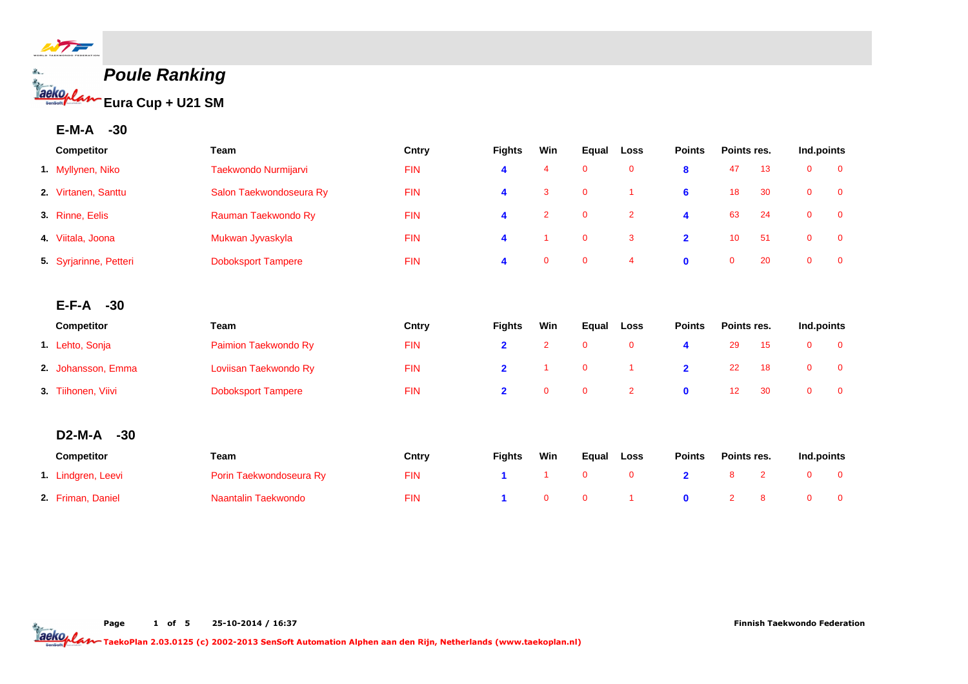

# **Poule Ranking Eura Cup + U21 SM**

## **E-M-A -30**

| Competitor             | Team                      | Cntry      | <b>Fights</b>  | Win            | Equal        | Loss           | <b>Points</b>  | Points res.    |                | Ind.points     |                |
|------------------------|---------------------------|------------|----------------|----------------|--------------|----------------|----------------|----------------|----------------|----------------|----------------|
| 1. Myllynen, Niko      | Taekwondo Nurmijarvi      | <b>FIN</b> | 4              | 4              | $\mathbf 0$  | $\mathbf 0$    | 8              | 47             | 13             | $\mathbf{0}$   | $\overline{0}$ |
| 2. Virtanen, Santtu    | Salon Taekwondoseura Ry   | <b>FIN</b> | 4              | 3              | $\mathbf 0$  |                | 6              | 18             | 30             | $\mathbf 0$    | $\mathbf 0$    |
| 3. Rinne, Eelis        | Rauman Taekwondo Ry       | <b>FIN</b> | 4              | $\overline{2}$ | $\mathbf 0$  | $\overline{2}$ | 4              | 63             | 24             | $\mathbf 0$    | $\mathbf 0$    |
| 4. Viitala, Joona      | Mukwan Jyvaskyla          | <b>FIN</b> | 4              | -1             | $\mathbf 0$  | 3              | $\overline{2}$ | 10             | 51             | $\overline{0}$ | $\overline{0}$ |
| 5 Syrjarinne, Petteri  | <b>Doboksport Tampere</b> | <b>FIN</b> | 4              | $\mathbf{0}$   | $\mathbf 0$  | $\overline{4}$ | $\mathbf 0$    | $\mathbf 0$    | 20             | $\mathbf 0$    | $\mathbf 0$    |
|                        |                           |            |                |                |              |                |                |                |                |                |                |
| $-30$<br>E-F-A         |                           |            |                |                |              |                |                |                |                |                |                |
| Competitor             | Team                      | Cntry      | <b>Fights</b>  | Win            | Equal        | Loss           | <b>Points</b>  | Points res.    |                | Ind.points     |                |
| 1. Lehto, Sonja        | Paimion Taekwondo Ry      | <b>FIN</b> | $\overline{2}$ | $\overline{2}$ | $\mathbf 0$  | $\mathbf 0$    | 4              | 29             | 15             | $\mathbf 0$    | $\mathbf 0$    |
| 2. Johansson, Emma     | Loviisan Taekwondo Ry     | <b>FIN</b> | $\overline{2}$ | $\overline{1}$ | $\mathbf 0$  | $\overline{1}$ | $\overline{2}$ | 22             | 18             | $\mathbf 0$    | $\mathbf 0$    |
| 3. Tiihonen, Viivi     | <b>Doboksport Tampere</b> | <b>FIN</b> | $\overline{2}$ | $\mathbf{0}$   | $\mathbf{0}$ | $\overline{2}$ | $\mathbf 0$    | 12             | 30             | $\overline{0}$ | $\overline{0}$ |
|                        |                           |            |                |                |              |                |                |                |                |                |                |
| <b>D2-M-A</b><br>$-30$ |                           |            |                |                |              |                |                |                |                |                |                |
| Competitor             | Team                      | Cntry      | <b>Fights</b>  | Win            | Equal        | Loss           | <b>Points</b>  | Points res.    |                | Ind.points     |                |
| 1. Lindgren, Leevi     | Porin Taekwondoseura Ry   | <b>FIN</b> | 1              | $\overline{1}$ | $\mathbf 0$  | $\mathbf 0$    | $\overline{2}$ | 8              | $\overline{2}$ | $\mathbf 0$    | $\mathbf 0$    |
| 2. Friman, Daniel      | Naantalin Taekwondo       | <b>FIN</b> | 1              | $\mathbf 0$    | $\mathbf 0$  |                | $\mathbf 0$    | $\overline{2}$ | 8              | $\mathbf{0}$   | $\mathbf 0$    |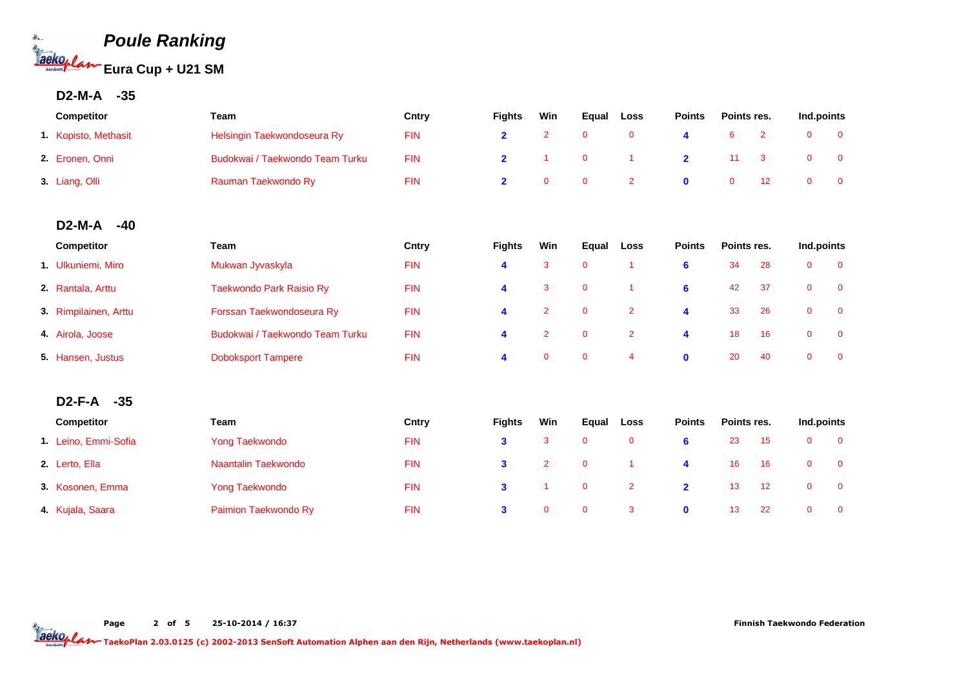

## **D2-M-A -35**

| <b>Competitor</b>    | Team                            | Cntry      | <b>Fights</b> | Win | Eaual        | Loss | <b>Points</b> | Points res. | Ind.points |  |
|----------------------|---------------------------------|------------|---------------|-----|--------------|------|---------------|-------------|------------|--|
| 1. Kopisto, Methasit | Helsingin Taekwondoseura Ry     | <b>FIN</b> |               |     | $\mathbf{0}$ |      |               |             |            |  |
| 2. Eronen, Onni      | Budokwai / Taekwondo Team Turku | <b>FIN</b> |               |     | $\Omega$     |      |               | 11 3        |            |  |
| 3. Liang, Olli       | Rauman Taekwondo Ry             | <b>FIN</b> |               |     | $\Omega$     |      |               |             |            |  |

#### **D2-M-A -40**

| <b>Competitor</b>     | Team                            | Cntry      | <b>Fights</b> | Win          | Equal        | Loss         | <b>Points</b> | Points res. |     | Ind.points   |     |
|-----------------------|---------------------------------|------------|---------------|--------------|--------------|--------------|---------------|-------------|-----|--------------|-----|
| 1. Ulkuniemi, Miro    | Mukwan Jyvaskyla                | <b>FIN</b> | 4             | 3            | 0            |              | 6             | 34          | 28  | 0            | - 0 |
| 2. Rantala, Arttu     | Taekwondo Park Raisio Ry        | <b>FIN</b> | 4             | 3            | $\mathbf{0}$ |              | 6             | 42          | -37 | $\mathbf{0}$ | - 0 |
| 3. Rimpilainen, Arttu | Forssan Taekwondoseura Ry       | <b>FIN</b> | 4             | 2            | 0            | 2            | 4             | 33          | 26  | $\mathbf{0}$ | - 0 |
| 4. Airola, Joose      | Budokwai / Taekwondo Team Turku | <b>FIN</b> | 4             | 2            | $\Omega$     | $\mathbf{2}$ | 4             | 18          | 16  | $\mathbf{0}$ | - 0 |
| 5. Hansen, Justus     | <b>Doboksport Tampere</b>       | <b>FIN</b> | 4             | $\mathbf{0}$ | $\mathbf{0}$ | 4            | $\mathbf{0}$  | 20          | 40  | $\Omega$     | - 0 |

#### **D2-F-A -35**

| <b>Competitor</b>    | Team                 | Cntry      | <b>Fights</b> | Win            | Equal                   | Loss           | <b>Points</b> | Points res. |               | Ind.points |  |
|----------------------|----------------------|------------|---------------|----------------|-------------------------|----------------|---------------|-------------|---------------|------------|--|
| 1. Leino, Emmi-Sofia | Yong Taekwondo       | <b>FIN</b> | 3             |                | $\mathbf{0}$            | $\mathbf{0}$   |               | 23          | -15           |            |  |
| 2. Lerto, Ella       | Naantalin Taekwondo  | <b>FIN</b> | 3             | $\overline{2}$ | $\overline{\mathbf{0}}$ |                | 4             | 16          | 16            |            |  |
| 3. Kosonen, Emma     | Yong Taekwondo       | <b>FIN</b> | $\mathbf{3}$  |                | $\overline{\mathbf{0}}$ | $\overline{2}$ | $\mathbf{2}$  | 13          | $^{\circ}$ 12 |            |  |
| 4. Kujala, Saara     | Paimion Taekwondo Ry | <b>FIN</b> | 3             | 0              | $\mathbf{0}$            | -3             | $\mathbf{a}$  | 13          | - 22          |            |  |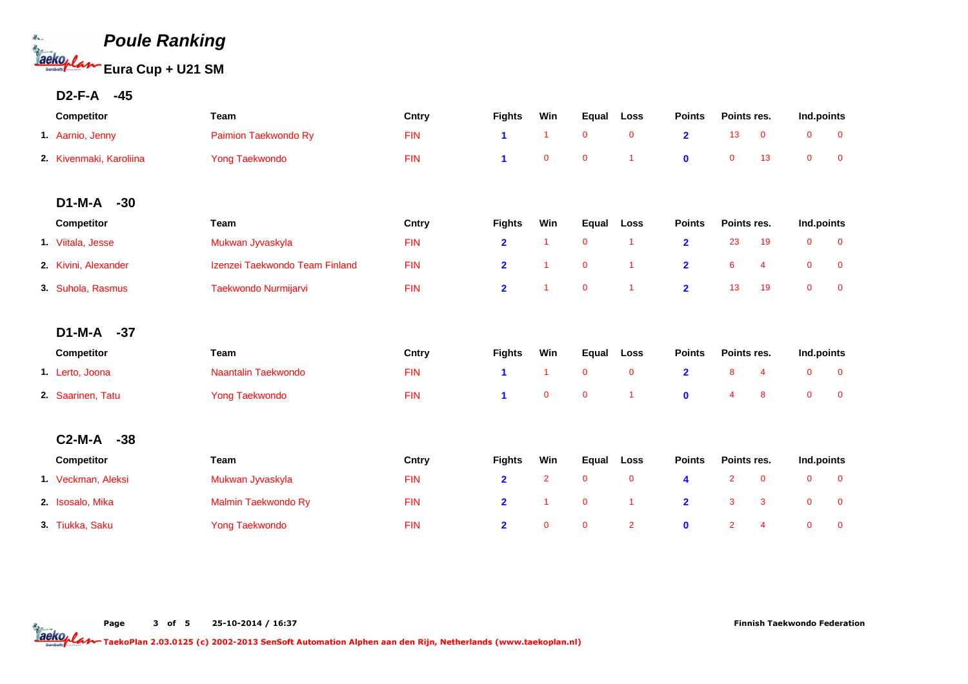

#### **D2-F-A -45**

| Competitor              | Team                           | Cntry      | <b>Fights</b>  | Win            | Equal        | Loss           | <b>Points</b>           | Points res.    |                | Ind.points     |                |
|-------------------------|--------------------------------|------------|----------------|----------------|--------------|----------------|-------------------------|----------------|----------------|----------------|----------------|
| 1. Aarnio, Jenny        | Paimion Taekwondo Ry           | <b>FIN</b> | 1              | $\overline{1}$ | $\mathbf 0$  | $\mathbf 0$    | $\overline{2}$          | 13             | $\mathbf 0$    | $\mathbf 0$    | $\mathbf 0$    |
| 2. Kivenmaki, Karoliina | <b>Yong Taekwondo</b>          | <b>FIN</b> | 1              | $\mathbf 0$    | $\mathbf 0$  | $\overline{1}$ | $\mathbf 0$             | $\mathbf 0$    | 13             | $\mathbf 0$    | $\mathbf 0$    |
|                         |                                |            |                |                |              |                |                         |                |                |                |                |
| $D1-M-A$<br>$-30$       |                                |            |                |                |              |                |                         |                |                |                |                |
| Competitor              | Team                           | Cntry      | <b>Fights</b>  | Win            | Equal        | Loss           | <b>Points</b>           | Points res.    |                | Ind.points     |                |
| 1. Viitala, Jesse       | Mukwan Jyvaskyla               | <b>FIN</b> | $\overline{2}$ | $\overline{1}$ | $\mathbf 0$  | $\overline{1}$ | $\overline{2}$          | 23             | 19             | $\mathbf 0$    | $\mathbf 0$    |
| 2. Kivini, Alexander    | Izenzei Taekwondo Team Finland | <b>FIN</b> | $\overline{2}$ | $\overline{1}$ | $\mathbf 0$  | $\overline{1}$ | $\overline{2}$          | 6              | $\overline{4}$ | $\mathbf 0$    | $\mathbf 0$    |
| 3 Suhola, Rasmus        | Taekwondo Nurmijarvi           | <b>FIN</b> | $\overline{2}$ | $\overline{1}$ | $\mathbf{0}$ | $\overline{1}$ | $\overline{2}$          | 13             | 19             | $\overline{0}$ | $\overline{0}$ |
|                         |                                |            |                |                |              |                |                         |                |                |                |                |
| $D1-M-A$<br>$-37$       |                                |            |                |                |              |                |                         |                |                |                |                |
| Competitor              | Team                           | Cntry      | <b>Fights</b>  | Win            | Equal        | Loss           | <b>Points</b>           | Points res.    |                | Ind.points     |                |
| 1. Lerto, Joona         | Naantalin Taekwondo            | <b>FIN</b> | 1              | $\overline{1}$ | $\mathbf{0}$ | $\mathbf 0$    | $\overline{\mathbf{2}}$ | 8              | 4              | $\mathbf 0$    | $\mathbf 0$    |
| 2. Saarinen, Tatu       | <b>Yong Taekwondo</b>          | <b>FIN</b> | 1              | $\mathbf{0}$   | $\mathbf 0$  | 1              | $\mathbf 0$             | 4              | 8              | $\overline{0}$ | $\mathbf 0$    |
|                         |                                |            |                |                |              |                |                         |                |                |                |                |
| $C2-M-A$<br>$-38$       |                                |            |                |                |              |                |                         |                |                |                |                |
| Competitor              | Team                           | Cntry      | <b>Fights</b>  | Win            | Equal        | Loss           | <b>Points</b>           | Points res.    |                | Ind.points     |                |
| 1 Veckman, Aleksi       | Mukwan Jyvaskyla               | <b>FIN</b> | $\overline{2}$ | $\overline{2}$ | $\mathbf 0$  | $\mathbf 0$    | 4                       | $\overline{2}$ | $\mathbf 0$    | $\mathbf 0$    | $\overline{0}$ |
| 2. Isosalo, Mika        | Malmin Taekwondo Ry            | <b>FIN</b> | $\overline{2}$ | $\overline{1}$ | $\mathbf 0$  | $\overline{1}$ | $\overline{2}$          | 3              | 3              | $\mathbf 0$    | $\mathbf 0$    |
| 3. Tiukka, Saku         | <b>Yong Taekwondo</b>          | <b>FIN</b> | $\overline{2}$ | $\mathbf 0$    | $\mathbf 0$  | $\overline{2}$ | $\mathbf 0$             | $\overline{2}$ | $\overline{4}$ | $\mathbf{0}$   | $\overline{0}$ |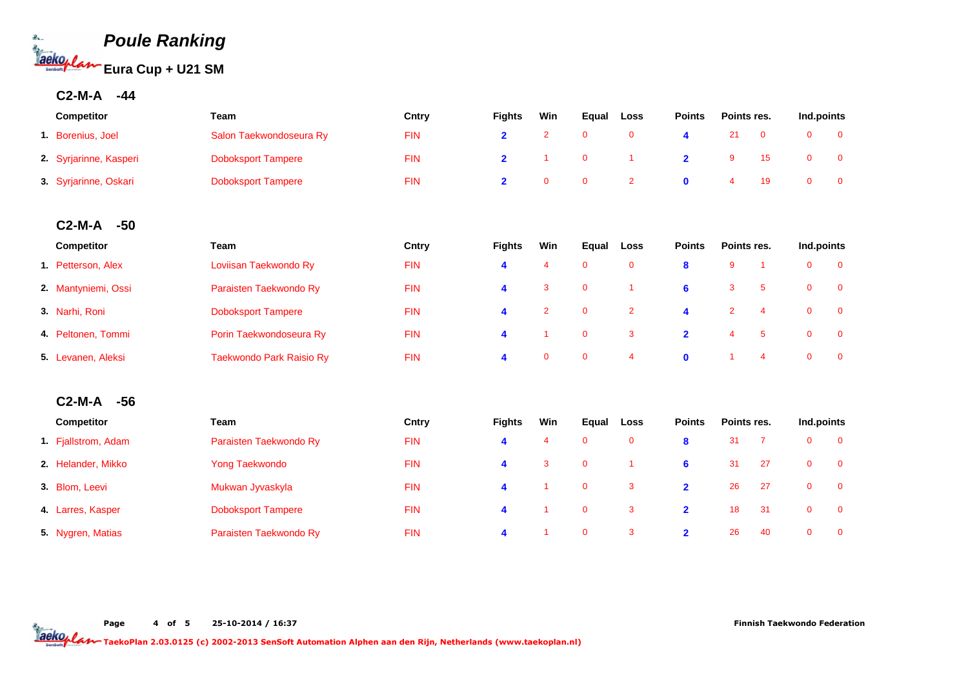

### **C2-M-A -44**

| <b>Competitor</b>      | Team                      | Cntry      | <b>Fights</b> | Win | Equal | Loss | <b>Points</b> | Points res. | Ind.points |  |
|------------------------|---------------------------|------------|---------------|-----|-------|------|---------------|-------------|------------|--|
| 1. Borenius, Joel      | Salon Taekwondoseura Ry   | <b>FIN</b> |               |     |       |      |               |             |            |  |
| 2. Syrjarinne, Kasperi | <b>Doboksport Tampere</b> | <b>FIN</b> |               |     |       |      |               |             |            |  |
| 3. Syrjarinne, Oskari  | <b>Doboksport Tampere</b> | <b>FIN</b> |               |     |       |      |               |             |            |  |

#### **C2-M-A -50**

| <b>Competitor</b>   | Team                      | Cntry      | <b>Fights</b> | Win          | Equal        | Loss         | <b>Points</b> | Points res. |    | Ind.points |                |
|---------------------|---------------------------|------------|---------------|--------------|--------------|--------------|---------------|-------------|----|------------|----------------|
| 1. Petterson, Alex  | Loviisan Taekwondo Ry     | <b>FIN</b> | 4             | 4            | $\mathbf{0}$ | $\mathbf 0$  | 8             | 9           |    |            | $\overline{0}$ |
| 2. Mantyniemi, Ossi | Paraisten Taekwondo Ry    | <b>FIN</b> | 4             | 3            | $\mathbf{0}$ |              | 6             | 3           | -5 | 0          | $\Omega$       |
| 3. Narhi, Roni      | <b>Doboksport Tampere</b> | <b>FIN</b> | 4             | 2            | $\Omega$     | $\mathbf{2}$ | 4             |             | -4 |            | $\Omega$       |
| 4. Peltonen, Tommi  | Porin Taekwondoseura Ry   | <b>FIN</b> | 4             |              | $\mathbf{0}$ | 3            | $\mathbf{2}$  | 4           | -5 |            | $\overline{0}$ |
| 5. Levanen, Aleksi  | Taekwondo Park Raisio Ry  | <b>FIN</b> | 4             | $\mathbf{0}$ | $\mathbf{0}$ | 4            | $\mathbf{0}$  |             | 4  |            | $\Omega$       |

#### **C2-M-A -56**

| <b>Competitor</b>   | Team                      | Cntry      | <b>Fights</b> | Win | Equal        | Loss | <b>Points</b> | Points res. |     | Ind.points   |          |
|---------------------|---------------------------|------------|---------------|-----|--------------|------|---------------|-------------|-----|--------------|----------|
| 1. Fjallstrom, Adam | Paraisten Taekwondo Ry    | <b>FIN</b> | 4             | 4   | $\mathbf{0}$ | 0    | 8             | 31          |     | $\mathbf{O}$ | - 0      |
| 2. Helander, Mikko  | Yong Taekwondo            | <b>FIN</b> | 4             | 3   | $\mathbf{0}$ |      | 6             | 31          | -27 | $\mathbf{0}$ | - 0      |
| 3. Blom, Leevi      | Mukwan Jyvaskyla          | <b>FIN</b> | 4             |     | $\mathbf{0}$ | 3    | $\mathbf{2}$  | 26          | -27 | $\mathbf{0}$ | - 0      |
| 4. Larres, Kasper   | <b>Doboksport Tampere</b> | <b>FIN</b> | 4             |     | 0            | 3    | $\mathbf{2}$  | 18          | -31 | $\mathbf{O}$ | $\Omega$ |
| 5. Nygren, Matias   | Paraisten Taekwondo Ry    | <b>FIN</b> | 4             |     | $\mathbf{0}$ | 3    | $\mathbf{2}$  | 26          | 40  | $\mathbf{0}$ | - 0      |